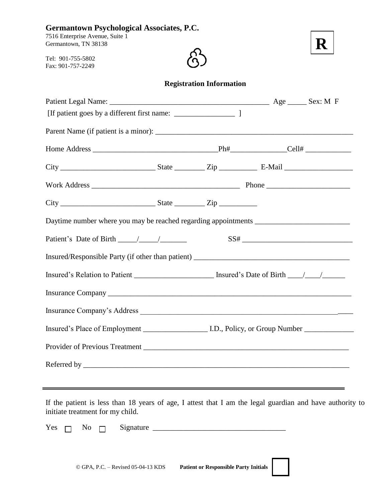| <b>Germantown Psychological Associates, P.C.</b><br>7516 Enterprise Avenue, Suite 1<br>Germantown, TN 38138 |  |  |  |  |  |
|-------------------------------------------------------------------------------------------------------------|--|--|--|--|--|
| Tel: 901-755-5802<br>Fax: 901-757-2249                                                                      |  |  |  |  |  |
| <b>Registration Information</b>                                                                             |  |  |  |  |  |
|                                                                                                             |  |  |  |  |  |
|                                                                                                             |  |  |  |  |  |
|                                                                                                             |  |  |  |  |  |
|                                                                                                             |  |  |  |  |  |
|                                                                                                             |  |  |  |  |  |
|                                                                                                             |  |  |  |  |  |
|                                                                                                             |  |  |  |  |  |
|                                                                                                             |  |  |  |  |  |
| Insured/Responsible Party (if other than patient) _______________________________                           |  |  |  |  |  |
| Insured's Relation to Patient ________________________ Insured's Date of Birth _____________________        |  |  |  |  |  |
|                                                                                                             |  |  |  |  |  |
|                                                                                                             |  |  |  |  |  |
|                                                                                                             |  |  |  |  |  |
|                                                                                                             |  |  |  |  |  |
|                                                                                                             |  |  |  |  |  |
|                                                                                                             |  |  |  |  |  |

If the patient is less than 18 years of age, I attest that I am the legal guardian and have authority to initiate treatment for my child.

 $Yes \ \Box \ \ No \ \Box \ \ Signature \ \_\_\_\_\_\_$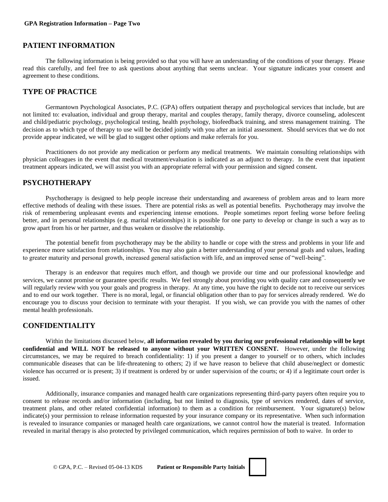## **PATIENT INFORMATION**

The following information is being provided so that you will have an understanding of the conditions of your therapy. Please read this carefully, and feel free to ask questions about anything that seems unclear. Your signature indicates your consent and agreement to these conditions.

## **TYPE OF PRACTICE**

Germantown Psychological Associates, P.C. (GPA) offers outpatient therapy and psychological services that include, but are not limited to: evaluation, individual and group therapy, marital and couples therapy, family therapy, divorce counseling, adolescent and child/pediatric psychology, psychological testing, health psychology, biofeedback training, and stress management training. The decision as to which type of therapy to use will be decided jointly with you after an initial assessment. Should services that we do not provide appear indicated, we will be glad to suggest other options and make referrals for you.

Practitioners do not provide any medication or perform any medical treatments. We maintain consulting relationships with physician colleagues in the event that medical treatment/evaluation is indicated as an adjunct to therapy. In the event that inpatient treatment appears indicated, we will assist you with an appropriate referral with your permission and signed consent.

# **PSYCHOTHERAPY**

Psychotherapy is designed to help people increase their understanding and awareness of problem areas and to learn more effective methods of dealing with these issues. There are potential risks as well as potential benefits. Psychotherapy may involve the risk of remembering unpleasant events and experiencing intense emotions. People sometimes report feeling worse before feeling better, and in personal relationships (e.g. marital relationships) it is possible for one party to develop or change in such a way as to grow apart from his or her partner, and thus weaken or dissolve the relationship.

The potential benefit from psychotherapy may be the ability to handle or cope with the stress and problems in your life and experience more satisfaction from relationships. You may also gain a better understanding of your personal goals and values, leading to greater maturity and personal growth, increased general satisfaction with life, and an improved sense of "well-being".

Therapy is an endeavor that requires much effort, and though we provide our time and our professional knowledge and services, we cannot promise or guarantee specific results. We feel strongly about providing you with quality care and consequently we will regularly review with you your goals and progress in therapy. At any time, you have the right to decide not to receive our services and to end our work together. There is no moral, legal, or financial obligation other than to pay for services already rendered. We do encourage you to discuss your decision to terminate with your therapist. If you wish, we can provide you with the names of other mental health professionals.

## **CONFIDENTIALITY**

Within the limitations discussed below, **all information revealed by you during our professional relationship will be kept confidential and WILL NOT be released to anyone without your WRITTEN CONSENT.** However, under the following circumstances, we may be required to breach confidentiality: 1) if you present a danger to yourself or to others, which includes communicable diseases that can be life-threatening to others; 2) if we have reason to believe that child abuse/neglect or domestic violence has occurred or is present; 3) if treatment is ordered by or under supervision of the courts; or 4) if a legitimate court order is issued.

Additionally, insurance companies and managed health care organizations representing third-party payers often require you to consent to release records and/or information (including, but not limited to diagnosis, type of services rendered, dates of service, treatment plans, and other related confidential information) to them as a condition for reimbursement. Your signature(s) below indicate(s) your permission to release information requested by your insurance company or its representative. When such information is revealed to insurance companies or managed health care organizations, we cannot control how the material is treated. Information revealed in marital therapy is also protected by privileged communication, which requires permission of both to waive. In order to

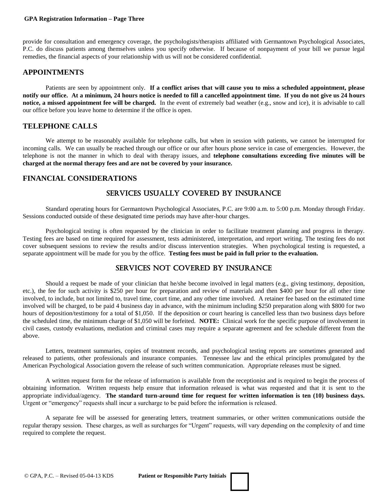#### **GPA Registration Information – Page Three**

provide for consultation and emergency coverage, the psychologists/therapists affiliated with Germantown Psychological Associates, P.C. do discuss patients among themselves unless you specify otherwise. If because of nonpayment of your bill we pursue legal remedies, the financial aspects of your relationship with us will not be considered confidential.

#### **APPOINTMENTS**

Patients are seen by appointment only. **If a conflict arises that will cause you to miss a scheduled appointment, please notify our office. At a minimum, 24 hours notice is needed to fill a cancelled appointment time. If you do not give us 24 hours notice, a missed appointment fee will be charged.** In the event of extremely bad weather (e.g., snow and ice), it is advisable to call our office before you leave home to determine if the office is open.

## **TELEPHONE CALLS**

We attempt to be reasonably available for telephone calls, but when in session with patients, we cannot be interrupted for incoming calls. We can usually be reached through our office or our after hours phone service in case of emergencies. However, the telephone is not the manner in which to deal with therapy issues, and **telephone consultations exceeding five minutes will be charged at the normal therapy fees and are not be covered by your insurance.**

### **FINANCIAL CONSIDERATIONS**

# Services Usually Covered By Insurance

Standard operating hours for Germantown Psychological Associates, P.C. are 9:00 a.m. to 5:00 p.m. Monday through Friday. Sessions conducted outside of these designated time periods may have after-hour charges.

Psychological testing is often requested by the clinician in order to facilitate treatment planning and progress in therapy. Testing fees are based on time required for assessment, tests administered, interpretation, and report writing. The testing fees do not cover subsequent sessions to review the results and/or discuss intervention strategies. When psychological testing is requested, a separate appointment will be made for you by the office. **Testing fees must be paid in full prior to the evaluation.**

# Services Not Covered By Insurance

Should a request be made of your clinician that he/she become involved in legal matters (e.g., giving testimony, deposition, etc.), the fee for such activity is \$250 per hour for preparation and review of materials and then \$400 per hour for all other time involved, to include, but not limited to, travel time, court time, and any other time involved. A retainer fee based on the estimated time involved will be charged, to be paid 4 business day in advance, with the minimum including \$250 preparation along with \$800 for two hours of deposition/testimony for a total of \$1,050. If the deposition or court hearing is cancelled less than two business days before the scheduled time, the minimum charge of \$1,050 will be forfeited. **NOTE:** Clinical work for the specific purpose of involvement in civil cases, custody evaluations, mediation and criminal cases may require a separate agreement and fee schedule different from the above.

Letters, treatment summaries, copies of treatment records, and psychological testing reports are sometimes generated and released to patients, other professionals and insurance companies. Tennessee law and the ethical principles promulgated by the American Psychological Association govern the release of such written communication. Appropriate releases must be signed.

A written request form for the release of information is available from the receptionist and is required to begin the process of obtaining information. Written requests help ensure that information released is what was requested and that it is sent to the appropriate individual/agency. **The standard turn-around time for request for written information is ten (10) business days.** Urgent or "emergency" requests shall incur a surcharge to be paid before the information is released.

A separate fee will be assessed for generating letters, treatment summaries, or other written communications outside the regular therapy session. These charges, as well as surcharges for "Urgent" requests, will vary depending on the complexity of and time required to complete the request.